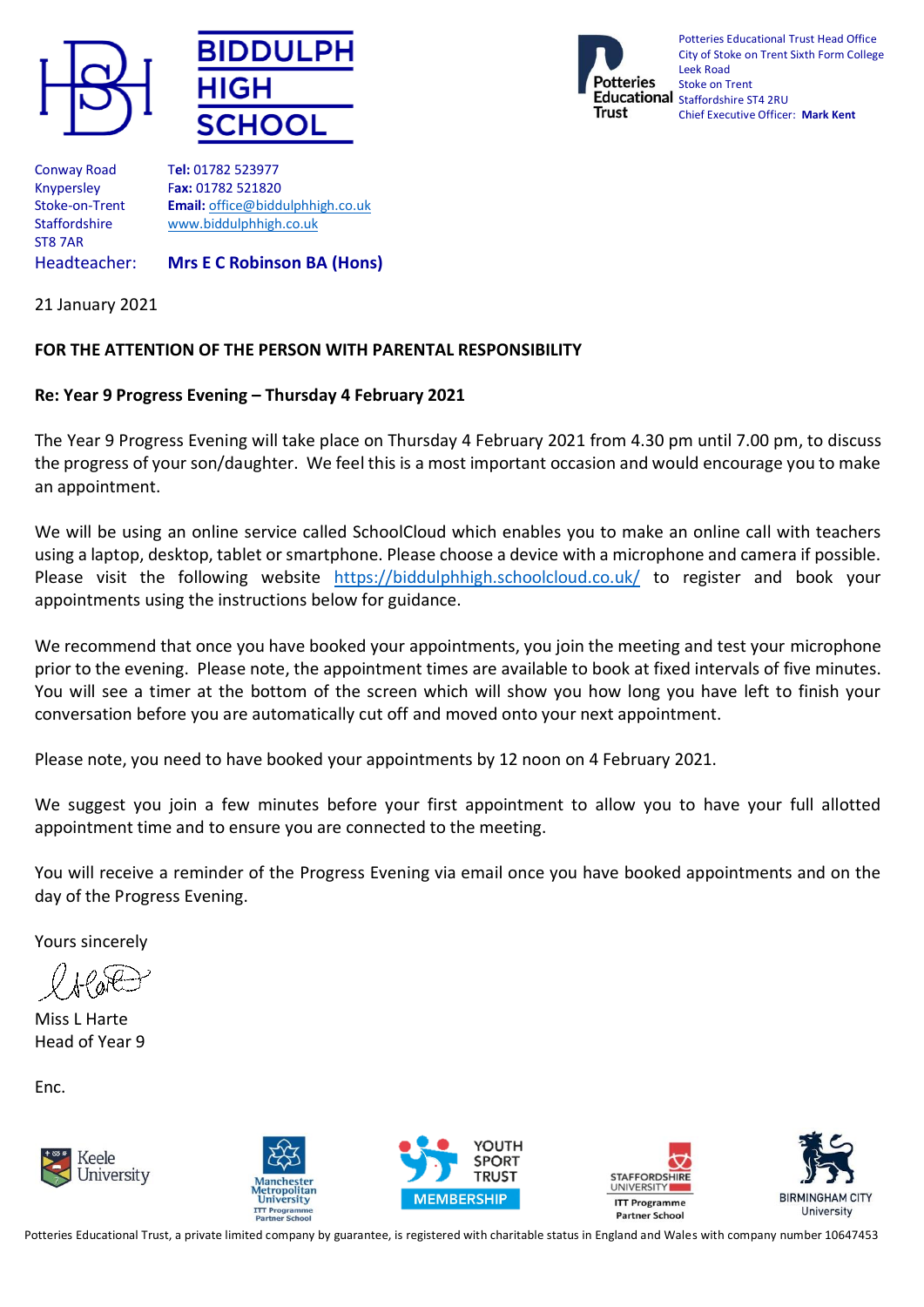





Potteries Educational Trust Head Office City of Stoke on Trent Sixth Form College Leek Road Stoke on Trent Educational Staffordshire ST4 2RU Chief Executive Officer: **Mark Kent**

Conway Road T**el:** 01782 523977 ST8 7AR

Knypersley F**ax:** 01782 521820 Stoke-on-Trent **Email:** [office@biddulphhigh.co.uk](mailto:office@biddulphhigh.co.uk) Staffordshire [www.biddulphhigh.co.uk](http://www.biddulphhigh.co.uk/) 

Headteacher: **Mrs E C Robinson BA (Hons)** 

21 January 2021

## **FOR THE ATTENTION OF THE PERSON WITH PARENTAL RESPONSIBILITY**

## **Re: Year 9 Progress Evening – Thursday 4 February 2021**

The Year 9 Progress Evening will take place on Thursday 4 February 2021 from 4.30 pm until 7.00 pm, to discuss the progress of your son/daughter. We feel this is a most important occasion and would encourage you to make an appointment.

We will be using an online service called SchoolCloud which enables you to make an online call with teachers using a laptop, desktop, tablet or smartphone. Please choose a device with a microphone and camera if possible. Please visit the following website <https://biddulphhigh.schoolcloud.co.uk/> to register and book your appointments using the instructions below for guidance.

We recommend that once you have booked your appointments, you join the meeting and test your microphone prior to the evening. Please note, the appointment times are available to book at fixed intervals of five minutes. You will see a timer at the bottom of the screen which will show you how long you have left to finish your conversation before you are automatically cut off and moved onto your next appointment.

Please note, you need to have booked your appointments by 12 noon on 4 February 2021.

We suggest you join a few minutes before your first appointment to allow you to have your full allotted appointment time and to ensure you are connected to the meeting.

You will receive a reminder of the Progress Evening via email once you have booked appointments and on the day of the Progress Evening.

Yours sincerely

Miss L Harte Head of Year 9

Enc.











Potteries Educational Trust, a private limited company by guarantee, is registered with charitable status in England and Wales with company number 10647453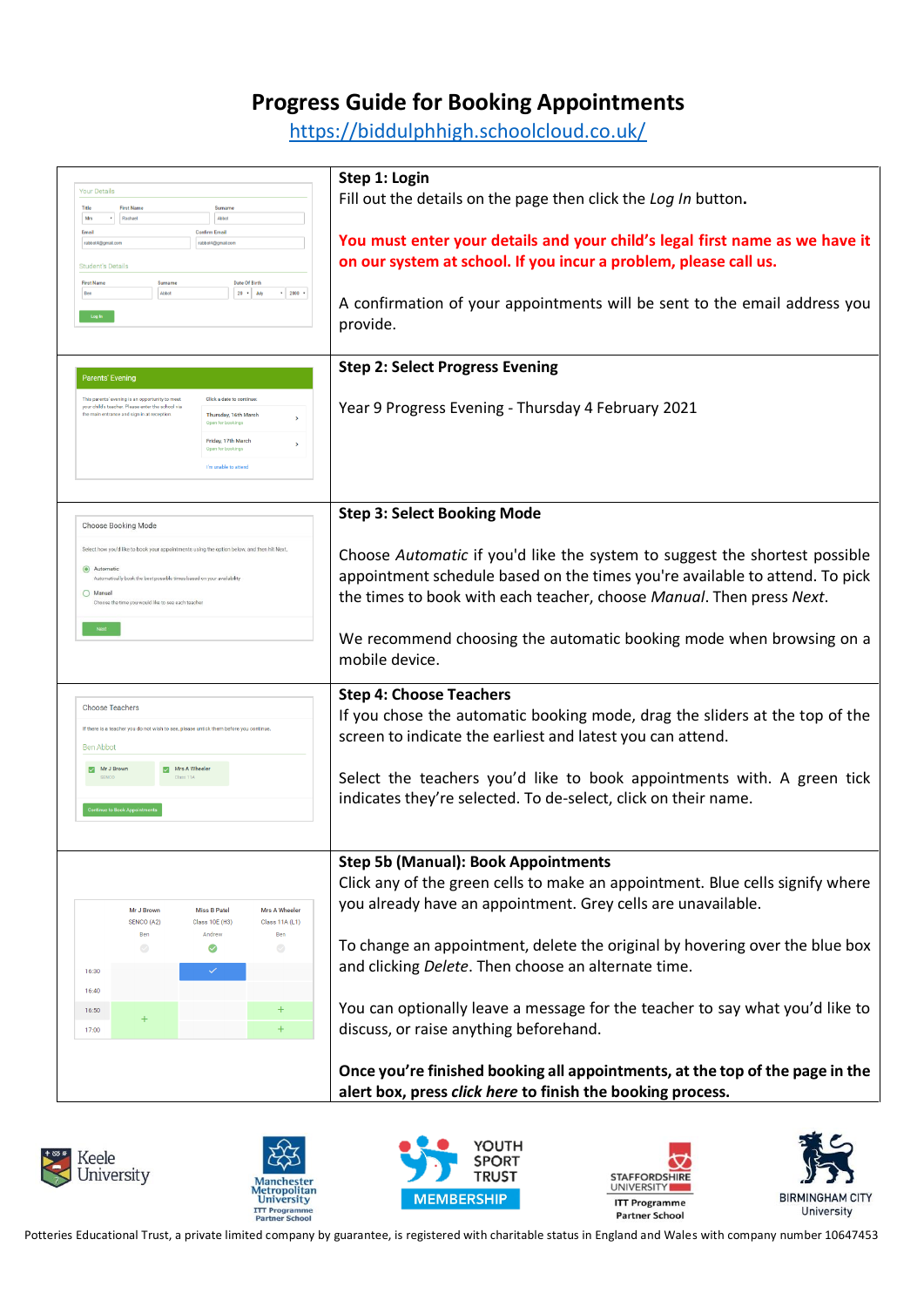## **Progress Guide for Booking Appointments**

<https://biddulphhigh.schoolcloud.co.uk/>

| <b>Your Details</b>                                                                                                      | Step 1: Login                                                                 |
|--------------------------------------------------------------------------------------------------------------------------|-------------------------------------------------------------------------------|
| <b>First Name</b><br>Title<br>Surname                                                                                    | Fill out the details on the page then click the Log In button.                |
| * Rachael<br>Abbot<br>Mrs                                                                                                |                                                                               |
| Email<br><b>Confirm Email</b><br>rabbot4@gmail.com<br>rabbot4@gmail.com                                                  | You must enter your details and your child's legal first name as we have it   |
|                                                                                                                          |                                                                               |
| <b>Student's Details</b>                                                                                                 | on our system at school. If you incur a problem, please call us.              |
| <b>Date Of Birth</b><br><b>First Name</b><br>Surname                                                                     |                                                                               |
| $20 + 34y$<br>$\cdot$ 2000 $\cdot$<br>Ben<br>Abbot                                                                       | A confirmation of your appointments will be sent to the email address you     |
| Log in                                                                                                                   |                                                                               |
|                                                                                                                          | provide.                                                                      |
|                                                                                                                          |                                                                               |
|                                                                                                                          | <b>Step 2: Select Progress Evening</b>                                        |
| <b>Parents' Evening</b>                                                                                                  |                                                                               |
| Click a date to continu<br>This parents' evening is an opportunity to meet                                               |                                                                               |
| your child's teacher. Please enter the school via<br>the main entrance and sign in at reception.<br>Thursday, 16th March | Year 9 Progress Evening - Thursday 4 February 2021                            |
| Open for bookings                                                                                                        |                                                                               |
| Friday, 17th March<br>Open for bookings                                                                                  |                                                                               |
|                                                                                                                          |                                                                               |
| I'm unable to attend                                                                                                     |                                                                               |
|                                                                                                                          |                                                                               |
|                                                                                                                          | <b>Step 3: Select Booking Mode</b>                                            |
| Choose Booking Mode                                                                                                      |                                                                               |
|                                                                                                                          |                                                                               |
| Select how you'd like to book your appointments using the option below, and then hit Next                                | Choose Automatic if you'd like the system to suggest the shortest possible    |
| Automatic<br>Automatically book the best possible times based on your availability                                       | appointment schedule based on the times you're available to attend. To pick   |
| O Manual                                                                                                                 |                                                                               |
| Choose the time you would like to see each teacher                                                                       | the times to book with each teacher, choose Manual. Then press Next.          |
|                                                                                                                          |                                                                               |
|                                                                                                                          | We recommend choosing the automatic booking mode when browsing on a           |
|                                                                                                                          |                                                                               |
|                                                                                                                          | mobile device.                                                                |
|                                                                                                                          |                                                                               |
| <b>Choose Teachers</b>                                                                                                   | <b>Step 4: Choose Teachers</b>                                                |
|                                                                                                                          | If you chose the automatic booking mode, drag the sliders at the top of the   |
| If there is a teacher you do not wish to see, please untick them before you continu                                      | screen to indicate the earliest and latest you can attend.                    |
| Ben Abbot                                                                                                                |                                                                               |
| Mrs A Wheele<br>Mr J Brown                                                                                               |                                                                               |
|                                                                                                                          | Select the teachers you'd like to book appointments with. A green tick        |
|                                                                                                                          | indicates they're selected. To de-select, click on their name.                |
|                                                                                                                          |                                                                               |
|                                                                                                                          |                                                                               |
|                                                                                                                          |                                                                               |
|                                                                                                                          | <b>Step 5b (Manual): Book Appointments</b>                                    |
|                                                                                                                          | Click any of the green cells to make an appointment. Blue cells signify where |
|                                                                                                                          |                                                                               |
| Mr J Brown<br><b>Miss B Patel</b><br><b>Mrs A Wheeler</b>                                                                | you already have an appointment. Grey cells are unavailable.                  |
| SENCO (A2)<br>Class 10E (H3)<br>Class 11A (L1)<br>Andrew<br>Ben<br>Ben                                                   |                                                                               |
| $\heartsuit$<br>$\bigcirc$<br>Ø                                                                                          | To change an appointment, delete the original by hovering over the blue box   |
|                                                                                                                          |                                                                               |
| 16:30                                                                                                                    | and clicking Delete. Then choose an alternate time.                           |
| 16:40                                                                                                                    |                                                                               |
| $\pm$<br>16:50                                                                                                           | You can optionally leave a message for the teacher to say what you'd like to  |
| $\ddot{}$<br>17:00                                                                                                       | discuss, or raise anything beforehand.                                        |
|                                                                                                                          |                                                                               |
|                                                                                                                          |                                                                               |
|                                                                                                                          | Once you're finished booking all appointments, at the top of the page in the  |
|                                                                                                                          | alert box, press click here to finish the booking process.                    |
|                                                                                                                          |                                                                               |
|                                                                                                                          |                                                                               |











Potteries Educational Trust, a private limited company by guarantee, is registered with charitable status in England and Wales with company number 10647453